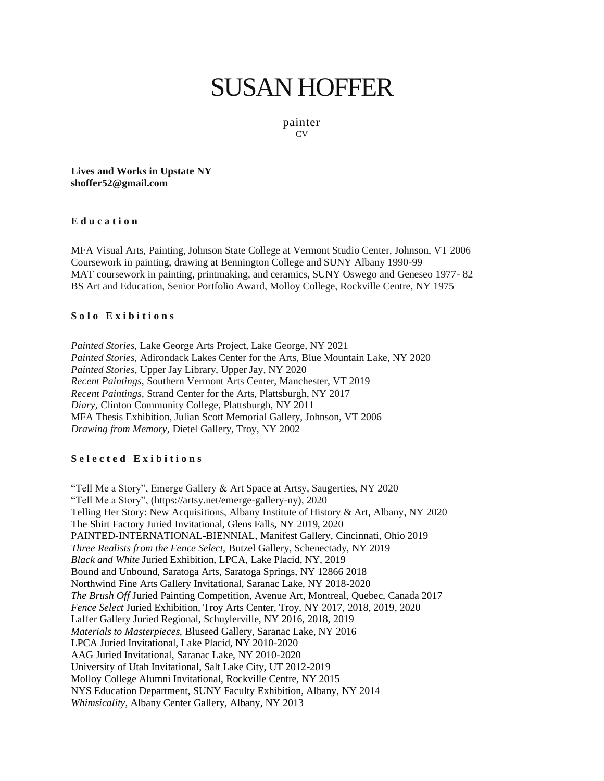# [SUSAN HOFFER](https://susanhofferart.com/)

painter CV

**Lives and Works in Upstate NY shoffer52@gmail.com**

#### **E d u c a t i o n**

MFA Visual Arts, Painting, Johnson State College at Vermont Studio Center, Johnson, VT 2006 Coursework in painting, drawing at Bennington College and SUNY Albany 1990-99 MAT coursework in painting, printmaking, and ceramics, SUNY Oswego and Geneseo 1977- 82 BS Art and Education, Senior Portfolio Award, Molloy College, Rockville Centre, NY 1975

### Solo Exibitions

*Painted Stories,* Lake George Arts Project, Lake George, NY 2021 *Painted Stories,* Adirondack Lakes Center for the Arts, Blue Mountain Lake, NY 2020 *Painted Stories*, Upper Jay Library, Upper Jay, NY 2020 *Recent Paintings*, Southern Vermont Arts Center, Manchester, VT 2019 *Recent Paintings*, Strand Center for the Arts, Plattsburgh, NY 2017 *Diary,* Clinton Community College, Plattsburgh, NY 2011 MFA Thesis Exhibition, Julian Scott Memorial Gallery, Johnson, VT 2006 *Drawing from Memory,* Dietel Gallery, Troy, NY 2002

### **S e l e c t e d E x i b i t i o n s**

"Tell Me a Story", Emerge Gallery & Art Space at Artsy, Saugerties, NY 2020 "Tell Me a Story", (https://artsy.net/emerge-gallery-ny), 2020 Telling Her Story: New Acquisitions, Albany Institute of History & Art, Albany, NY 2020 The Shirt Factory Juried Invitational, Glens Falls, NY 2019, 2020 PAINTED-INTERNATIONAL-BIENNIAL, Manifest Gallery, Cincinnati, Ohio 2019 *Three Realists from the Fence Select,* Butzel Gallery, Schenectady, NY 2019 *Black and White* Juried Exhibition, LPCA, Lake Placid, NY, 2019 Bound and Unbound, Saratoga Arts, Saratoga Springs, NY 12866 2018 Northwind Fine Arts Gallery Invitational, Saranac Lake, NY 2018-2020 *The Brush Off* Juried Painting Competition, Avenue Art, Montreal, Quebec, Canada 2017 *Fence Select* Juried Exhibition, Troy Arts Center, Troy, NY 2017, 2018, 2019, 2020 Laffer Gallery Juried Regional, Schuylerville, NY 2016, 2018, 2019 *Materials to Masterpieces,* Bluseed Gallery, Saranac Lake, NY 2016 LPCA Juried Invitational, Lake Placid, NY 2010-2020 AAG Juried Invitational, Saranac Lake, NY 2010-2020 University of Utah Invitational, Salt Lake City, UT 2012-2019 Molloy College Alumni Invitational, Rockville Centre, NY 2015 NYS Education Department, SUNY Faculty Exhibition, Albany, NY 2014 *Whimsicality*, Albany Center Gallery, Albany, NY 2013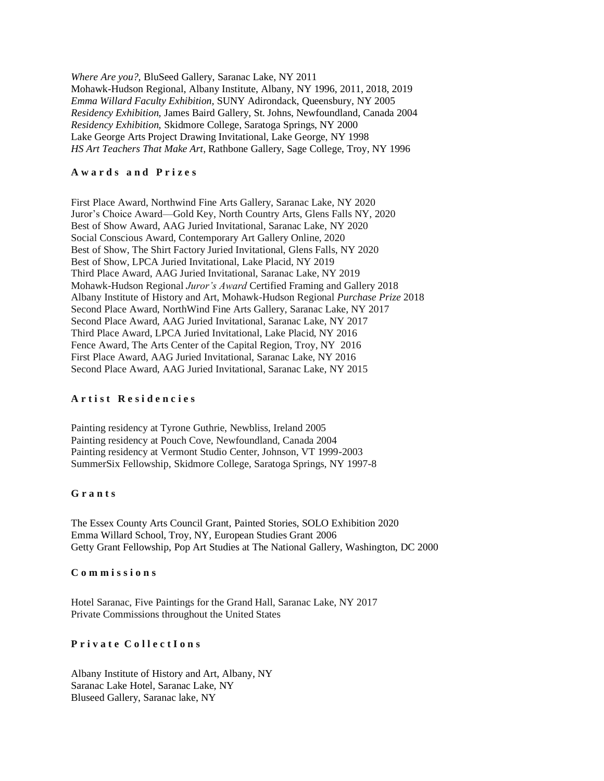*Where Are you?,* BluSeed Gallery, Saranac Lake, NY 2011 Mohawk-Hudson Regional, Albany Institute, Albany, NY 1996, 2011, 2018, 2019 *Emma Willard Faculty Exhibition,* SUNY Adirondack, Queensbury, NY 2005 *Residency Exhibition,* James Baird Gallery, St. Johns, Newfoundland, Canada 2004 *Residency Exhibition,* Skidmore College, Saratoga Springs, NY 2000 Lake George Arts Project Drawing Invitational, Lake George, NY 1998 *HS Art Teachers That Make Art*, Rathbone Gallery, Sage College, Troy, NY 1996

### **A w a r d s a n d P r i z e s**

First Place Award, Northwind Fine Arts Gallery, Saranac Lake, NY 2020 Juror's Choice Award—Gold Key, North Country Arts, Glens Falls NY, 2020 Best of Show Award, AAG Juried Invitational, Saranac Lake, NY 2020 Social Conscious Award, Contemporary Art Gallery Online, 2020 Best of Show, The Shirt Factory Juried Invitational, Glens Falls, NY 2020 Best of Show, LPCA Juried Invitational, Lake Placid, NY 2019 Third Place Award, AAG Juried Invitational, Saranac Lake, NY 2019 Mohawk-Hudson Regional *Juror's Award* Certified Framing and Gallery 2018 Albany Institute of History and Art, Mohawk-Hudson Regional *Purchase Prize* 2018 Second Place Award, NorthWind Fine Arts Gallery, Saranac Lake, NY 2017 Second Place Award, AAG Juried Invitational, Saranac Lake, NY 2017 Third Place Award, LPCA Juried Invitational, Lake Placid, NY 2016 Fence Award, The Arts Center of the Capital Region, Troy, NY 2016 First Place Award, AAG Juried Invitational, Saranac Lake, NY 2016 Second Place Award, AAG Juried Invitational, Saranac Lake, NY 2015

# **A r t i s t R e s i d e n c i e s**

Painting residency at Tyrone Guthrie, Newbliss, Ireland 2005 Painting residency at Pouch Cove, Newfoundland, Canada 2004 Painting residency at Vermont Studio Center, Johnson, VT 1999-2003 SummerSix Fellowship, Skidmore College, Saratoga Springs, NY 1997-8

## **G r a n t s**

The Essex County Arts Council Grant, Painted Stories, SOLO Exhibition 2020 Emma Willard School, Troy, NY, European Studies Grant 2006 Getty Grant Fellowship, Pop Art Studies at The National Gallery, Washington, DC 2000

### **C o m m i s s i o n s**

Hotel Saranac, Five Paintings for the Grand Hall, Saranac Lake, NY 2017 Private Commissions throughout the United States

## **P r i v a t e C o l l e c t I o n s**

Albany Institute of History and Art, Albany, NY Saranac Lake Hotel, Saranac Lake, NY Bluseed Gallery, Saranac lake, NY